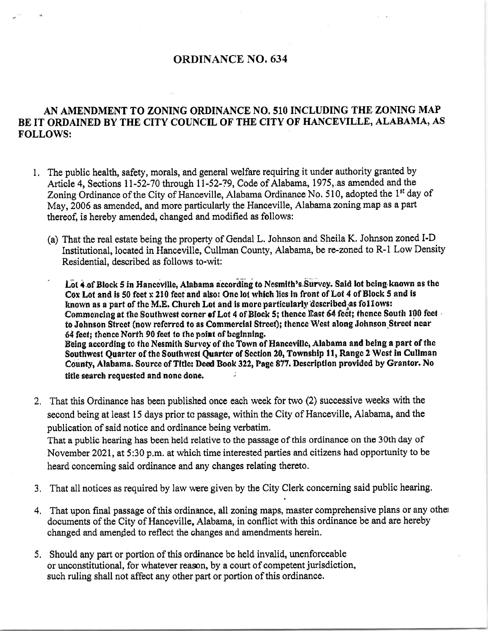## ORDINANCE NO. 634

## AN AMENDMENT TO ZONING ORDINANCE NO. 510 INCLUDING THE ZONING MAP BE IT ORDAINED BY THE CITY COUNCIL OF THE CITY OF HANCEVILLE, ALABAMA, AS FOLLOWS:

- l, The public health, safety, morals, and general welfare requiring it under authority granted by Article 4, Sections 11-52-70 through 11-52-79, Code of Alabama, 1975, as amended and the Zoning Ordinance of the City of Hanceville, Alabama Ordinance No. 510, adopted the 1<sup>st</sup> day of May, 2006 as amended, and more particularly the Hanceville, Alabama zoning map as a part thereof, is hereby amended, changed and modified as follows:
	- (a) That the real estate being the property of Gendal L. Johnson and Sheila K. Johnson zoned I-D Institutional, located in Hanceville, Cullman County, Alabama, be re-zoned to R-1 Low Density Residential, described as follows to-wit:
	- Lot 4 of Block 5 in Hanccville, Alabama according to Nesmith's Survey. Said lot being known as the Cox Lot and is 50 feet x 210 feet and also: One lot which lies in front of Lot 4 of Block 5 and is known as a part of the M.E. Church Lot and is more particularly described as follows: Commencing at the Southwest corner of Lot 4 of Block 5; thence East 64 fect; thence South 100 fect . to Johnson Street (now referred to as Commercial Street); thence West along Johnson Street near 64 fect: thence North 90 fect to the point of beginning. Being according to the Nesmith Survey of the Town of Hanceville, Alabama and being a part of the Southwest Quarter of the Southwest Quarter of Section 20, Township 11, Range 2 West in Cullman County, Alabama. Source of Title: Deed Book 322, Page 877. Description provided by Grantor. No title search requested and none done.
- That this Ordinance has been published once each week for two (2) successive weeks with the 2. second being at least 15 days prior to passage, within the City of Hanceville, Alabama, and the publication of said notice and ordinance being verbatim. That a public hearing has been held relative to the passage of this ordinance on the 30th day of

November 2021, at 5:30 p.m. at which time interested parties and citizens had opportunity to be heard concerning said ordinance and any changes relating thereto,

- 3. That all notices as required by law were given by the City Clerk concerning said public hearing.
- That upon final passage of this ordinance, all zoning maps, master comprehensive plans or any othe: 4, documents of the City of Hancgville, Alabama, in conflict with this ordinance be and are hereby changed and amended to reflect the changes and amendments herein.
- 5. Should any part or portion of this ordinance be held invalid, unenforceable or unconstitutional, for whatever reason, by a court of competent jurisdiction, such ruling shall not affect any other part or portion of this ordinance.